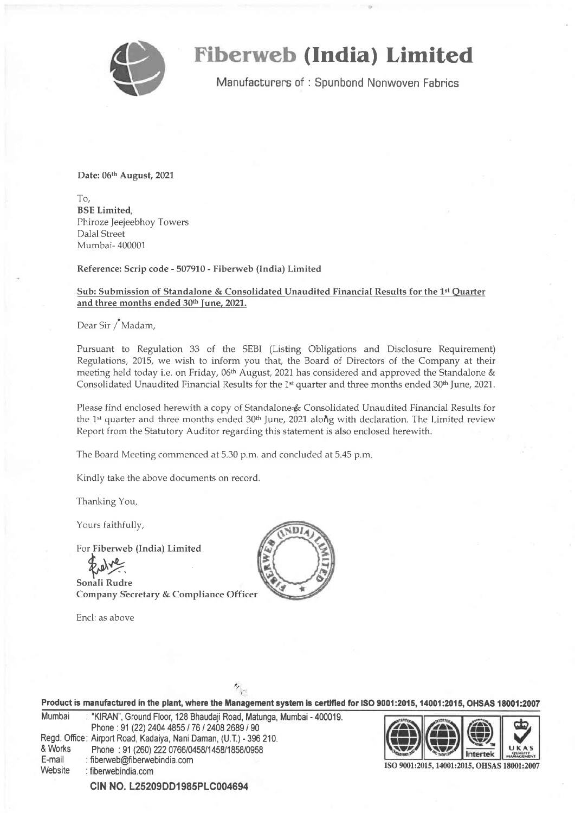

### **Fiberweb (India) Limited**

Manufacturers of: Spunbond Nonwoven Fabrics

Date: 06th August, 2021

To, BSE Limited, Phiroze Jeejeebhoy Towers Dalal Street Mumbai- 400001

Reference: Scrip code - 507910 - Fiberweb (India) Limited

### Sub: Submission of Standalone & Consolidated Unaudited Financial Results for the 1't Ouarter and three months ended 30<sup>th</sup> June, 2021.

Dear Sir /'Madam,

Pursuant to Regulation 33 of the SEBI (Listing Obligations and Disclosure Requirement) Regulations, 2015, we wish to inform you that, the Board of Directors of the Company at their meeting held today i.e. on Friday, 06<sup>th</sup> August, 2021 has considered and approved the Standalone & Consolidated Unaudited Financial Results for the 1<sup>st</sup> quarter and three months ended  $30<sup>th</sup>$  June, 2021.

Please find enclosed herewith a copy of Standalone & Consolidated Unaudited Financial Results for the 1st quarter and three months ended  $30<sup>th</sup>$  June, 2021 along with declaration. The Limited review Report from the Statutory Auditor regarding this statement is also enclosed herewith.

The Board Meeting commenced at 5.30 p.m. and concluded at 5.45 p.m.

Kindly take the above documents on record.

Thanking You,

Yours faithfully,

For Fiberweb (India) Limited

**Explorer**<br>Sonali Rudre

Company S'ecretary & Compliance Officer

Encl: as above



|                   | Product is manufactured in the plant, where the Management system is certified for ISO 9001:2015, 14001:2015, OHSAS 18001:2007                     |                                             |  |
|-------------------|----------------------------------------------------------------------------------------------------------------------------------------------------|---------------------------------------------|--|
| Mumbai            | : "KIRAN", Ground Floor, 128 Bhaudaji Road, Matunga, Mumbai - 400019.<br>Phone: 91 (22) 2404 4855 / 76 / 2408 2689 / 90                            |                                             |  |
| & Works<br>E-mail | Regd. Office: Airport Road, Kadaiya, Nani Daman, (U.T.) - 396 210.<br>Phone: 91 (260) 222 0766/0458/1458/1858/0958<br>: fiberweb@fiberwebindia.com |                                             |  |
| Website           | : fiberwebindia.com                                                                                                                                | ISO 9001:2015, 14001:2015, OHSAS 18001:2007 |  |

CIN NO. L25209DD1985PLC004694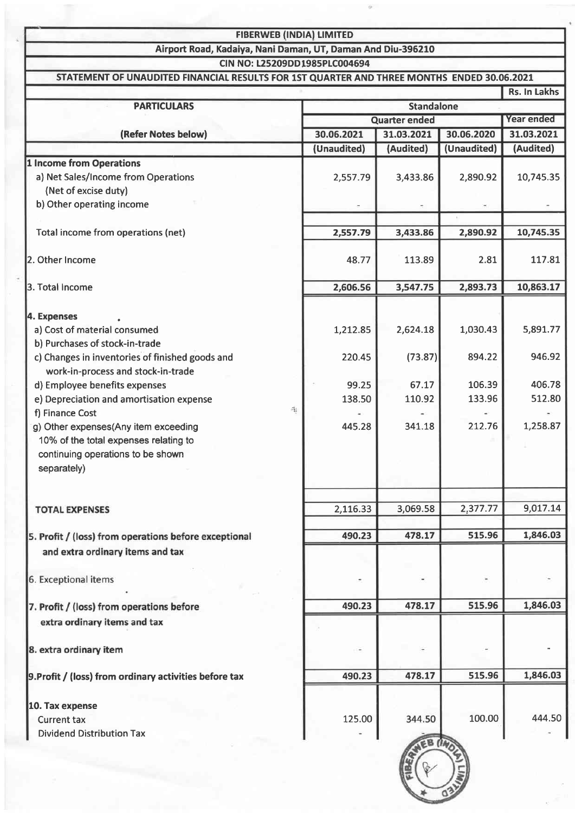| <b>FIBERWEB (INDIA) LIMITED</b> |  |
|---------------------------------|--|
|                                 |  |

Airport Road, Kadaiya, Nani Daman, UT, Daman And Diu-395210

CIN NO: L25209DD1985PLC004694

|                                                        |                 |                      |             | Rs. In Lakhs |
|--------------------------------------------------------|-----------------|----------------------|-------------|--------------|
| <b>PARTICULARS</b>                                     |                 | <b>Standalone</b>    |             |              |
|                                                        |                 | <b>Quarter ended</b> |             |              |
| (Refer Notes below)                                    | 30.06.2021      | 31.03.2021           |             | 31.03.2021   |
|                                                        | (Unaudited)     | (Audited)            | (Unaudited) | (Audited)    |
| <b>1 Income from Operations</b>                        |                 |                      |             |              |
| a) Net Sales/Income from Operations                    | 2,557.79        | 3,433.86             | 2,890.92    | 10,745.35    |
| (Net of excise duty)                                   |                 |                      |             |              |
| b) Other operating income                              |                 |                      |             |              |
|                                                        |                 |                      |             |              |
| Total income from operations (net)                     | 2,557.79        | 3,433.86             | 2,890.92    | 10,745.35    |
| 2. Other Income                                        | 48.77           | 113.89               | 2.81        | 117.81       |
| 3. Total Income                                        | 2,606.56        | 3,547.75             | 2,893.73    | 10,863.17    |
| 4. Expenses                                            |                 |                      |             |              |
| a) Cost of material consumed                           | 1,212.85        | 2,624.18             | 1,030.43    | 5,891.77     |
| b) Purchases of stock-in-trade                         |                 |                      |             |              |
| c) Changes in inventories of finished goods and        | 220.45          | (73.87)              | 894.22      | 946.92       |
| work-in-process and stock-in-trade                     |                 |                      |             |              |
| d) Employee benefits expenses                          | 99.25           | 67.17                | 106.39      | 406.78       |
| e) Depreciation and amortisation expense               | 138.50          | 110.92               | 133.96      | 512.80       |
| f) Finance Cost                                        | 围               |                      |             |              |
| g) Other expenses(Any item exceeding                   | 445.28          | 341.18               | 212.76      | 1,258.87     |
| 10% of the total expenses relating to                  |                 |                      |             |              |
| continuing operations to be shown                      |                 |                      |             |              |
| separately)                                            |                 |                      |             |              |
| <b>TOTAL EXPENSES</b>                                  | 2,116.33        | 3,069.58             | 2,377.77    | 9,017.14     |
|                                                        |                 |                      |             |              |
| 5. Profit / (loss) from operations before exceptional  | 490.23          | 478.17               | 515.96      | 1,846.03     |
| and extra ordinary items and tax                       |                 |                      |             |              |
|                                                        |                 |                      |             |              |
| 6. Exceptional items                                   |                 |                      |             |              |
| 7. Profit / (loss) from operations before              | 490.23          | 478.17               | 515.96      | 1,846.03     |
| extra ordinary items and tax                           |                 |                      |             |              |
| 8. extra ordinary item                                 | ri <del>e</del> |                      |             |              |
| 9. Profit / (loss) from ordinary activities before tax | 490.23          | 478.17               | 515.96      | 1,846.03     |
|                                                        |                 |                      |             |              |
| 10. Tax expense                                        | 125.00          | 344.50               | 100.00      | 444.50       |
| <b>Current tax</b>                                     |                 |                      |             |              |
| <b>Dividend Distribution Tax</b>                       |                 |                      |             |              |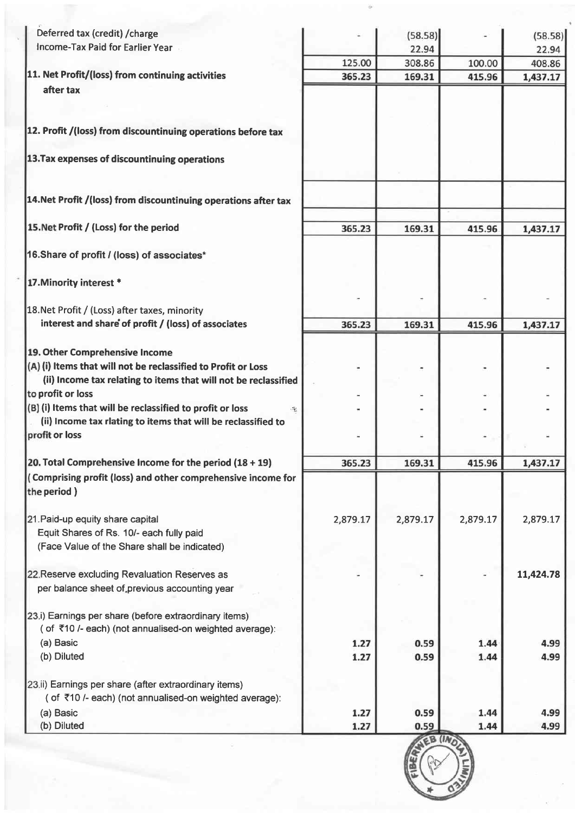| Deferred tax (credit) / charge<br>Income-Tax Paid for Earlier Year                                              |          | (58.58)         |                  | (58.58)            |
|-----------------------------------------------------------------------------------------------------------------|----------|-----------------|------------------|--------------------|
|                                                                                                                 | 125.00   | 22.94<br>308.86 |                  | 22.94              |
| 11. Net Profit/(loss) from continuing activities                                                                | 365.23   | 169.31          | 100.00<br>415.96 | 408.86<br>1,437.17 |
| after tax                                                                                                       |          |                 |                  |                    |
| 12. Profit /(loss) from discountinuing operations before tax                                                    |          |                 |                  |                    |
| 13. Tax expenses of discountinuing operations                                                                   |          |                 |                  |                    |
| 14. Net Profit / (loss) from discountinuing operations after tax                                                |          |                 |                  |                    |
| 15. Net Profit / (Loss) for the period                                                                          | 365.23   | 169.31          | 415.96           | 1,437.17           |
| 16. Share of profit / (loss) of associates*                                                                     |          |                 |                  |                    |
| 17. Minority interest *                                                                                         |          |                 |                  |                    |
|                                                                                                                 |          |                 |                  |                    |
| 18. Net Profit / (Loss) after taxes, minority                                                                   |          |                 |                  |                    |
| interest and share of profit / (loss) of associates                                                             | 365.23   | 169.31          | 415.96           | 1,437.17           |
| 19. Other Comprehensive Income                                                                                  |          |                 |                  |                    |
| (A) (i) Items that will not be reclassified to Profit or Loss                                                   |          |                 |                  |                    |
| (ii) Income tax relating to items that will not be reclassified                                                 |          |                 |                  |                    |
| to profit or loss                                                                                               |          |                 |                  |                    |
| (B) (i) Items that will be reclassified to profit or loss                                                       |          |                 |                  |                    |
| (ii) Income tax rlating to items that will be reclassified to<br>profit or loss                                 |          |                 |                  |                    |
|                                                                                                                 |          |                 |                  |                    |
| 20. Total Comprehensive Income for the period $(18 + 19)$                                                       | 365.23   | 169.31          | 415.96           | 1,437.17           |
| (Comprising profit (loss) and other comprehensive income for<br>the period)                                     |          |                 |                  |                    |
| 21. Paid-up equity share capital                                                                                | 2,879.17 | 2,879.17        | 2,879.17         | 2,879.17           |
| Equit Shares of Rs. 10/- each fully paid                                                                        |          |                 |                  |                    |
| (Face Value of the Share shall be indicated)                                                                    |          |                 |                  |                    |
| 22 Reserve excluding Revaluation Reserves as                                                                    |          |                 |                  | 11,424.78          |
| per balance sheet of previous accounting year                                                                   |          |                 |                  |                    |
| 23.i) Earnings per share (before extraordinary items)<br>(of ₹10 /- each) (not annualised-on weighted average): |          |                 |                  |                    |
| (a) Basic                                                                                                       | 1.27     | 0.59            | 1.44             | 4.99               |
| (b) Diluted                                                                                                     | 1.27     | 0.59            | 1.44             | 4.99               |
| 23.ii) Earnings per share (after extraordinary items)<br>(of ₹10 /- each) (not annualised-on weighted average): |          |                 |                  |                    |
| (a) Basic                                                                                                       | 1.27     | 0.59            | 1.44             | 4.99               |
| (b) Diluted                                                                                                     | 1.27     | 0.59<br>CB (INA | 1.44             | 4.99               |

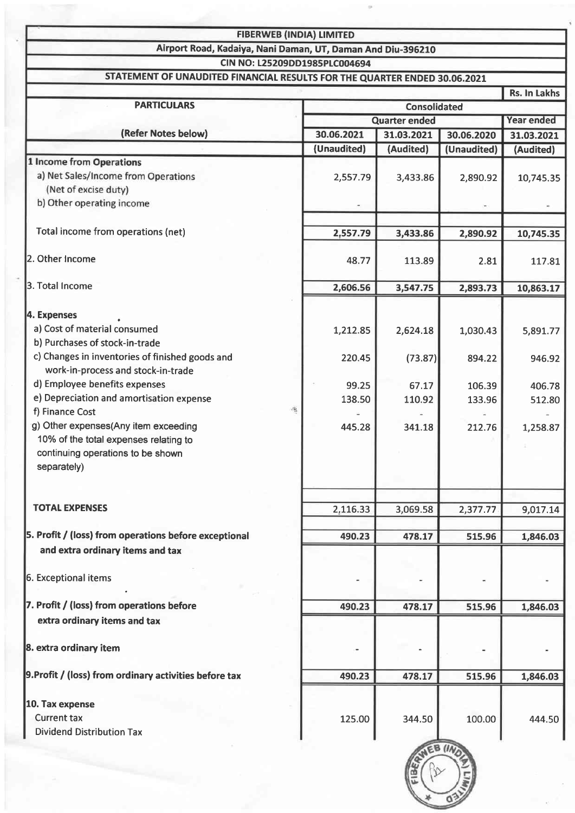| <b>FIBERWEB (INDIA) LIMITED</b>                                           |                     |                         |                           |                   |
|---------------------------------------------------------------------------|---------------------|-------------------------|---------------------------|-------------------|
| Airport Road, Kadaiya, Nani Daman, UT, Daman And Diu-396210               |                     |                         |                           |                   |
| CIN NO: L25209DD1985PLC004694                                             |                     |                         |                           |                   |
| STATEMENT OF UNAUDITED FINANCIAL RESULTS FOR THE QUARTER ENDED 30.06.2021 |                     |                         |                           |                   |
| <b>PARTICULARS</b>                                                        |                     |                         |                           | Rs. In Lakhs      |
|                                                                           | <b>Consolidated</b> |                         |                           |                   |
| (Refer Notes below)                                                       | 30.06.2021          | <b>Quarter ended</b>    |                           | <b>Year ended</b> |
|                                                                           | (Unaudited)         | 31.03.2021<br>(Audited) | 30.06.2020<br>(Unaudited) | 31.03.2021        |
| 1 Income from Operations                                                  |                     |                         |                           | (Audited)         |
| a) Net Sales/Income from Operations                                       | 2,557.79            | 3,433.86                | 2,890.92                  | 10,745.35         |
| (Net of excise duty)                                                      |                     |                         |                           |                   |
| b) Other operating income                                                 |                     |                         |                           |                   |
|                                                                           |                     |                         |                           |                   |
| Total income from operations (net)                                        | 2,557.79            | 3,433.86                | 2,890.92                  | 10,745.35         |
| 2. Other Income                                                           | 48.77               | 113.89                  | 2.81                      | 117.81            |
| 3. Total Income                                                           | 2,606.56            | 3,547.75                | 2,893.73                  | 10,863.17         |
|                                                                           |                     |                         |                           |                   |
| 4. Expenses                                                               |                     |                         |                           |                   |
| a) Cost of material consumed<br>b) Purchases of stock-in-trade            | 1,212.85            | 2,624.18                | 1,030.43                  | 5,891.77          |
| c) Changes in inventories of finished goods and                           |                     |                         |                           |                   |
| work-in-process and stock-in-trade                                        | 220.45              | (73.87)                 | 894.22                    | 946.92            |
| d) Employee benefits expenses                                             | 99.25               | 67.17                   | 106.39                    | 406.78            |
| e) Depreciation and amortisation expense                                  | 138.50              | 110.92                  | 133.96                    | 512.80            |
| 吼<br>f) Finance Cost                                                      |                     |                         |                           |                   |
| g) Other expenses(Any item exceeding                                      | 445.28              | 341.18                  | 212.76                    | 1,258.87          |
| 10% of the total expenses relating to                                     |                     |                         |                           |                   |
| continuing operations to be shown                                         |                     |                         |                           |                   |
| separately)                                                               |                     |                         |                           |                   |
|                                                                           |                     |                         |                           |                   |
|                                                                           |                     |                         |                           |                   |
| <b>TOTAL EXPENSES</b>                                                     | 2,116.33            | 3,069.58                | 2,377.77                  | 9,017.14          |
| 5. Profit / (loss) from operations before exceptional                     | 490.23              | 478.17                  |                           |                   |
| and extra ordinary items and tax                                          |                     |                         | 515.96                    | 1,846.03          |
|                                                                           |                     |                         |                           |                   |
| 6. Exceptional items                                                      |                     |                         |                           |                   |
|                                                                           |                     |                         |                           |                   |
| 7. Profit / (loss) from operations before                                 | 490.23              | 478.17                  | 515.96                    | 1,846.03          |
| extra ordinary items and tax                                              |                     |                         |                           |                   |
|                                                                           |                     |                         |                           |                   |
| 8. extra ordinary item                                                    |                     |                         |                           |                   |
|                                                                           |                     |                         |                           |                   |
| 9. Profit / (loss) from ordinary activities before tax                    | 490.23              | 478.17                  | 515.96                    | 1,846.03          |
| 10. Tax expense                                                           |                     |                         |                           |                   |
| <b>Current tax</b>                                                        | 125.00              | 344.50                  | 100.00                    | 444.50            |
| <b>Dividend Distribution Tax</b>                                          |                     |                         |                           |                   |
|                                                                           |                     |                         |                           |                   |
|                                                                           |                     |                         |                           |                   |
|                                                                           |                     |                         |                           |                   |
|                                                                           |                     |                         |                           |                   |
|                                                                           |                     |                         |                           |                   |
|                                                                           |                     |                         |                           |                   |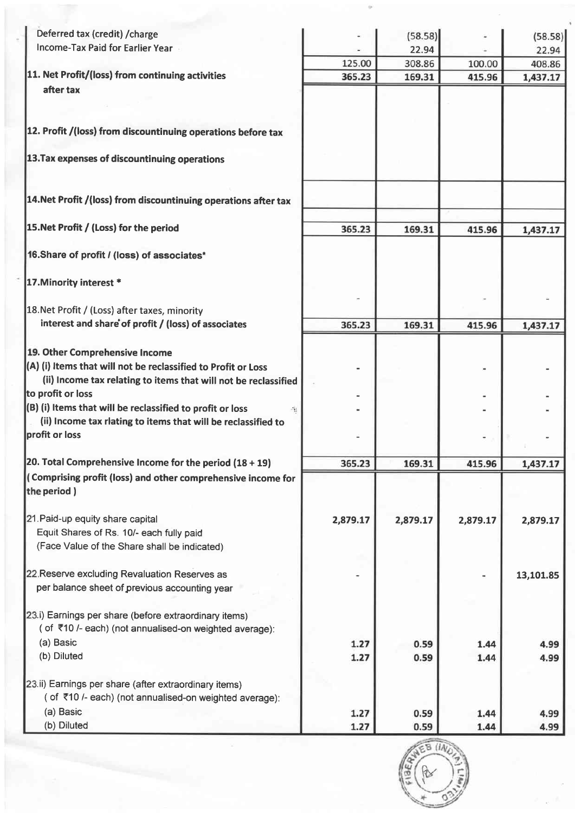| Deferred tax (credit) / charge<br><b>Income-Tax Paid for Earlier Year</b>                                       |          | (58.58)         |          | (58.58)            |
|-----------------------------------------------------------------------------------------------------------------|----------|-----------------|----------|--------------------|
|                                                                                                                 | 125.00   | 22.94<br>308.86 | 100.00   | 22.94              |
| 11. Net Profit/(loss) from continuing activities                                                                | 365.23   | 169.31          | 415.96   | 408.86<br>1,437.17 |
| after tax                                                                                                       |          |                 |          |                    |
| 12. Profit /(loss) from discountinuing operations before tax                                                    |          |                 |          |                    |
| 13. Tax expenses of discountinuing operations                                                                   |          |                 |          |                    |
| 14. Net Profit /(loss) from discountinuing operations after tax                                                 |          |                 |          |                    |
| 15. Net Profit / (Loss) for the period                                                                          | 365.23   | 169.31          | 415.96   | 1,437.17           |
| 16. Share of profit / (loss) of associates*                                                                     |          |                 |          |                    |
| 17. Minority interest *                                                                                         |          |                 |          |                    |
| 18. Net Profit / (Loss) after taxes, minority                                                                   |          |                 |          |                    |
| interest and share of profit / (loss) of associates                                                             | 365.23   | 169.31          | 415.96   | 1,437.17           |
| 19. Other Comprehensive Income                                                                                  |          |                 |          |                    |
| (A) (i) Items that will not be reclassified to Profit or Loss                                                   |          |                 |          |                    |
| (ii) Income tax relating to items that will not be reclassified                                                 |          |                 |          |                    |
| to profit or loss                                                                                               |          |                 |          |                    |
| (B) (i) Items that will be reclassified to profit or loss                                                       |          |                 |          |                    |
| (ii) Income tax rlating to items that will be reclassified to<br>profit or loss                                 |          |                 |          |                    |
| 20. Total Comprehensive Income for the period $(18 + 19)$                                                       | 365.23   | 169.31          | 415.96   | 1,437.17           |
| (Comprising profit (loss) and other comprehensive income for<br>the period)                                     |          |                 |          |                    |
| 21. Paid-up equity share capital<br>Equit Shares of Rs. 10/- each fully paid                                    | 2,879.17 | 2,879.17        | 2,879.17 | 2,879.17           |
| (Face Value of the Share shall be indicated)                                                                    |          |                 |          |                    |
|                                                                                                                 |          |                 |          |                    |
| 22. Reserve excluding Revaluation Reserves as<br>per balance sheet of previous accounting year                  |          |                 |          | 13,101.85          |
| 23.i) Earnings per share (before extraordinary items)                                                           |          |                 |          |                    |
| (of ₹10 /- each) (not annualised-on weighted average):<br>(a) Basic                                             | 1.27     | 0.59            | 1.44     | 4.99               |
| (b) Diluted                                                                                                     | 1.27     | 0.59            | 1.44     | 4.99               |
|                                                                                                                 |          |                 |          |                    |
| 23.ii) Earnings per share (after extraordinary items)<br>(of ₹10 /- each) (not annualised-on weighted average): |          |                 |          |                    |
| (a) Basic                                                                                                       | 1.27     | 0.59            | 1.44     | 4.99               |
| (b) Diluted                                                                                                     | 1.27     | 0.59            | 1.44     | 4.99               |

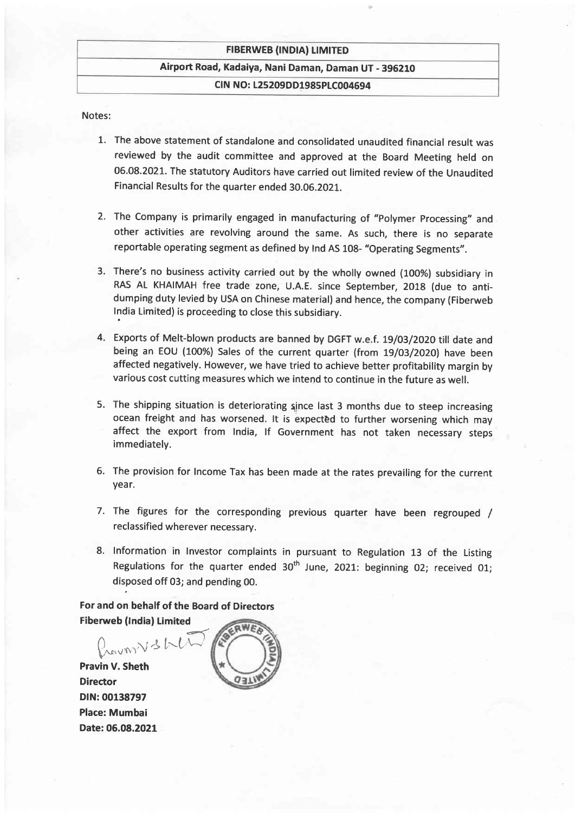#### **FIBERWEB (INDIA) LIMITED**

### Airport Road, Kadaiya, Nani Daman, Daman UT - 396210

### CIN NO: 125209DD1985PIC004694

Notes:

- 1. The above statement of standalone and consolidated unaudited financial result was reviewed by the audit committee and approved at the Board Meeting held on 06.08.2021. The statutory Auditors have carried out limited review of the Unaudited Financial Results for the quarter ended 30.OG.2OZ1.
- 2. The Company is primarily engaged in manufacturing of "Polymer Processing" and other activities are revolving around the same. As such, there is no separate reportable operating segment as defined by lnd As 108- "operating segments".
- 3. There's no business activity carried out by the wholly owned (100%) subsidiary in RAS AL KHAIMAH free trade zone, U.A.E. since september, 201g (due to antidumping duty levied by USA on Chinese material) and hence, the company (Fiberweb lndia Limited) is proceeding to close this subsidiary.
- 4. Exports of Melt-blown products are banned by DGFT w.e.f. 19/03/2020 till date and being an EOU (100%) Sales of the current quarter (from 19/03/2020) have been affected negatively. However, we have tried to achieve better profitability margin by various cost cutting measures which we intend to continue in the future as well.
- 5. The shipping situation is deteriorating since last 3 months due to steep increasing ocean freight and has worsened. It is expected to further worsening which may affect the export from lndia, lf Government has not taken necessary steps immediately.
- 6. The provision for Income Tax has been made at the rates prevailing for the current year.
- 7. The figures for the corresponding previous quarter have been regrouped / reclassified wherever necessary.
- 8. Information in Investor complaints in pursuant to Regulation 13 of the Listing Regulations for the quarter ended  $30^{th}$  June, 2021: beginning 02; received 01; disposed off 03; and pending 00.

For and on behalf of the Board of Directors **Fiberweb (India) Limited** 

 $m\vee s$  / Pravin V. Sheth Director DIN:00138797 Place: Mumbai Date:06.08.2021

RWEA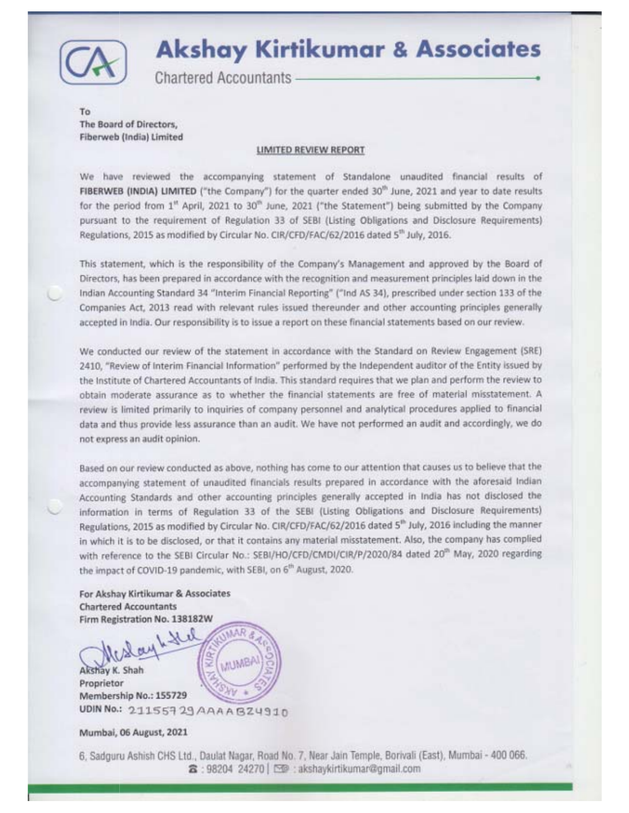

## **Akshay Kirtikumar & Associates**

**Chartered Accountants -**

To The Board of Directors, Fiberweb (India) Limited

#### LIMITED REVIEW REPORT

We have reviewed the accompanying statement of Standalone unaudited financial results of FIBERWEB (INDIA) LIMITED ("the Company") for the quarter ended 30<sup>th</sup> June, 2021 and year to date results for the period from 1" April, 2021 to 30" June, 2021 ("the Statement") being submitted by the Company pursuant to the requirement of Regulation 33 of SEBI (Listing Obligations and Disclosure Requirements) Regulations, 2015 as modified by Circular No. CIR/CFD/FAC/62/2016 dated 5<sup>th</sup> July, 2016.

This statement, which is the responsibility of the Company's Management and approved by the Board of Directors, has been prepared in accordance with the recognition and measurement principles laid down in the Indian Accounting Standard 34 "Interim Financial Reporting" ("Ind AS 34), prescribed under section 133 of the Companies Act, 2013 read with relevant rules issued thereunder and other accounting principles generally accepted in India. Our responsibility is to issue a report on these financial statements based on our review.

We conducted our review of the statement in accordance with the Standard on Review Engagement (SRE) 2410, "Review of Interim Financial Information" performed by the Independent auditor of the Entity issued by the Institute of Chartered Accountants of India. This standard requires that we plan and perform the review to obtain moderate assurance as to whether the financial statements are free of material misstatement. A review is limited primarily to inquiries of company personnel and analytical procedures applied to financial data and thus provide less assurance than an audit. We have not performed an audit and accordingly, we do not express an audit opinion.

Based on our review conducted as above, nothing has come to our attention that causes us to believe that the accompanying statement of unaudited financials results prepared in accordance with the aforesaid Indian Accounting Standards and other accounting principles generally accepted in India has not disclosed the information in terms of Regulation 33 of the SEBI (Listing Obligations and Disclosure Requirements) Regulations, 2015 as modified by Circular No. CIR/CFD/FAC/62/2016 dated 5<sup>th</sup> July, 2016 including the manner in which it is to be disclosed, or that it contains any material misstatement. Also, the company has complied with reference to the SEBI Circular No.: SEBI/HO/CFD/CMDI/CIR/P/2020/84 dated 20<sup>th</sup> May, 2020 regarding the impact of COVID-19 pandemic, with SEBI, on 6<sup>th</sup> August, 2020.

For Akshay Kirtikumar & Associates **Chartered Accountants** Firm Registration No. 138182W

MAR **MUMB** Akshay K. Shah Proprietor Membership No.: 155729 UDIN No.: 21155729 AAAABZ4910

Mumbai, 06 August, 2021

6, Sadguru Ashish CHS Ltd., Daulat Nagar, Road No. 7, Near Jain Temple, Borivali (East), Mumbai - 400 066. 3:98204 24270 | [ · akshaykirtikumar@gmail.com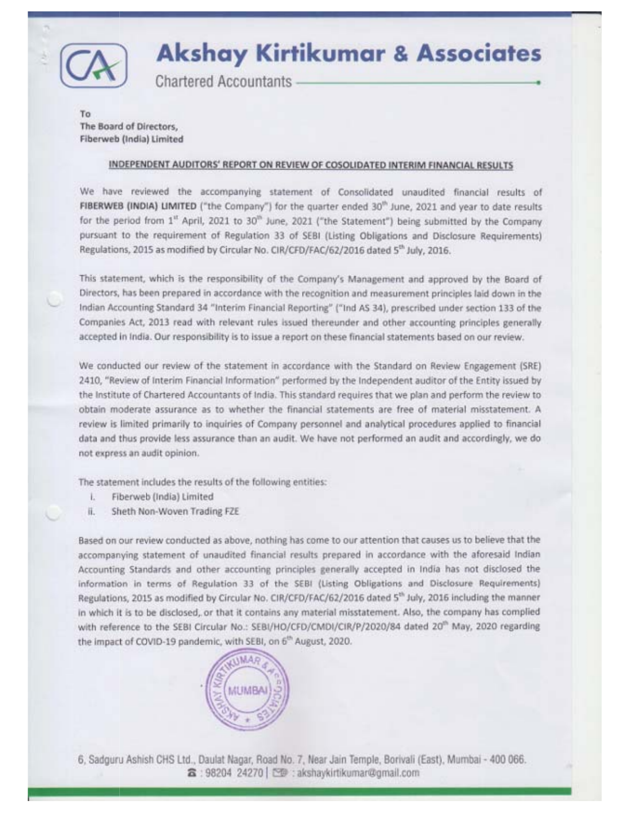

# **Akshay Kirtikumar & Associates**

**Chartered Accountants** 

To The Board of Directors, Fiberweb (India) Limited

### INDEPENDENT AUDITORS' REPORT ON REVIEW OF COSOLIDATED INTERIM FINANCIAL RESULTS

We have reviewed the accompanying statement of Consolidated unaudited financial results of FIBERWEB (INDIA) LIMITED ("the Company") for the quarter ended 30<sup>th</sup> June, 2021 and year to date results for the period from 1<sup>tt</sup> April, 2021 to 30<sup>th</sup> June, 2021 ("the Statement") being submitted by the Company pursuant to the requirement of Regulation 33 of SEBI (Listing Obligations and Disclosure Requirements) Regulations, 2015 as modified by Circular No. CIR/CFD/FAC/62/2016 dated 5<sup>th</sup> July, 2016.

This statement, which is the responsibility of the Company's Management and approved by the Board of Directors, has been prepared in accordance with the recognition and measurement principles laid down in the Indian Accounting Standard 34 "Interim Financial Reporting" ("Ind AS 34), prescribed under section 133 of the Companies Act, 2013 read with relevant rules issued thereunder and other accounting principles generally. accepted in India. Our responsibility is to issue a report on these financial statements based on our review.

We conducted our review of the statement in accordance with the Standard on Review Engagement (SRE) 2410, "Review of Interim Financial Information" performed by the Independent auditor of the Entity issued by the Institute of Chartered Accountants of India. This standard requires that we plan and perform the review to obtain moderate assurance as to whether the financial statements are free of material misstatement. A review is limited primarily to inquiries of Company personnel and analytical procedures applied to financial data and thus provide less assurance than an audit. We have not performed an audit and accordingly, we do not express an audit opinion.

The statement includes the results of the following entities:

- L. Fiberweb (India) Limited
- ii. Sheth Non-Woven Trading FZE

Based on our review conducted as above, nothing has come to our attention that causes us to believe that the accompanying statement of unaudited financial results prepared in accordance with the aforesaid Indian Accounting Standards and other accounting principles generally accepted in India has not disclosed the information in terms of Regulation 33 of the SEBI (Listing Obligations and Disclosure Requirements) Regulations, 2015 as modified by Circular No. CIR/CFD/FAC/62/2016 dated 5<sup>th</sup> July, 2016 including the manner in which it is to be disclosed, or that it contains any material misstatement. Also, the company has complied with reference to the SEBI Circular No.: SEBI/HO/CFD/CMDI/CIR/P/2020/84 dated 20<sup>th</sup> May, 2020 regarding the impact of COVID-19 pandemic, with SEBI, on 6<sup>th</sup> August, 2020.



6, Sadguru Ashish CHS Ltd., Daulat Nagar, Road No. 7, Near Jain Temple, Borivali (East), Mumbai - 400 066. 含: 98204 24270 | [空]: akshaykirtikumar@gmail.com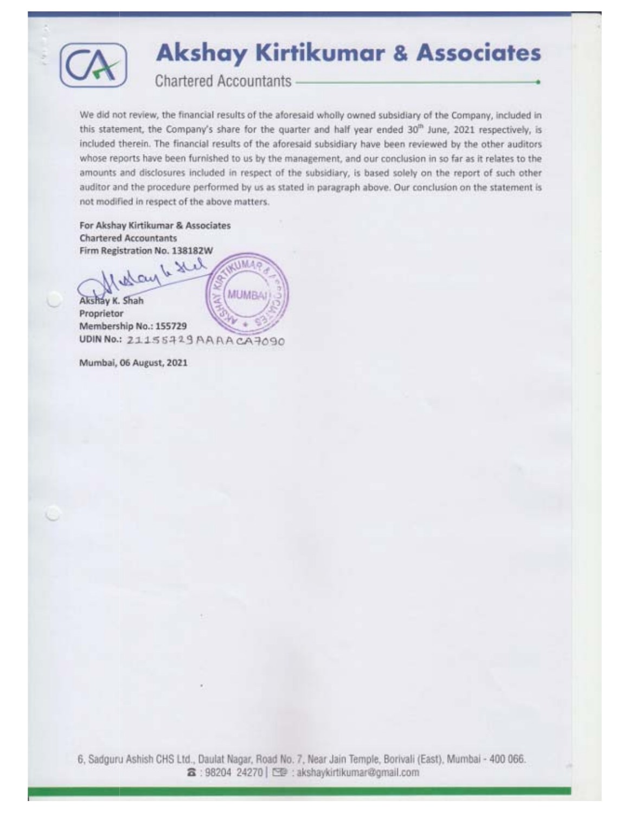

# **Akshay Kirtikumar & Associates**

**Chartered Accountants** 

We did not review, the financial results of the aforesaid wholly owned subsidiary of the Company, included in this statement, the Company's share for the quarter and half year ended 30<sup>th</sup> June, 2021 respectively, is included therein. The financial results of the aforesaid subsidiary have been reviewed by the other auditors whose reports have been furnished to us by the management, and our conclusion in so far as it relates to the amounts and disclosures included in respect of the subsidiary, is based solely on the report of such other auditor and the procedure performed by us as stated in paragraph above. Our conclusion on the statement is not modified in respect of the above matters.

For Akshay Kirtikumar & Associates **Chartered Accountants** Firm Registration No. 138182W

6 Hil **THMAG** May **MUMBAI** Akshay K. Shah Proprietor Membership No.: 155729 UDIN No.: 21155719 AAAA CA7090

Mumbai, 06 August, 2021